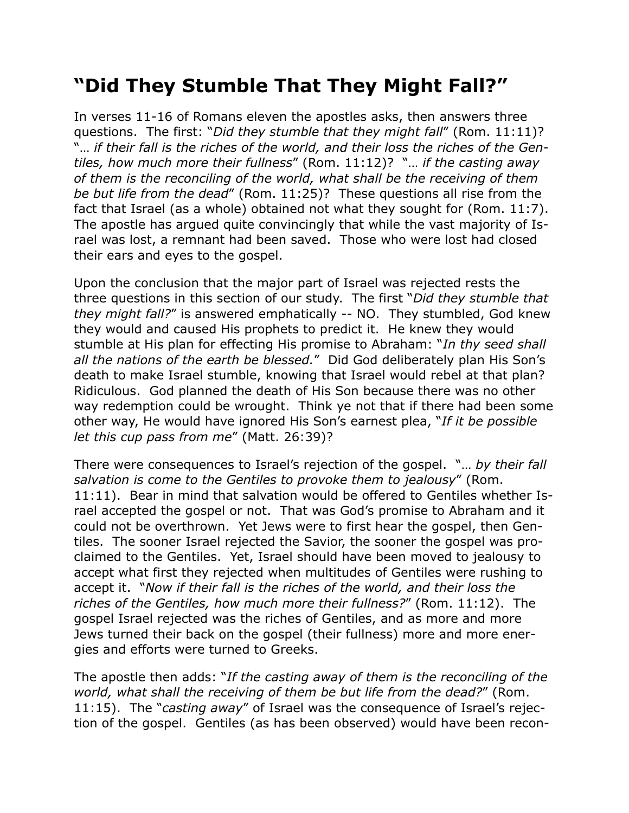## **"Did They Stumble That They Might Fall?"**

In verses 11-16 of Romans eleven the apostles asks, then answers three questions. The first: "*Did they stumble that they might fall*" (Rom. 11:11)? "… *if their fall is the riches of the world, and their loss the riches of the Gentiles, how much more their fullness*" (Rom. 11:12)? "… *if the casting away of them is the reconciling of the world, what shall be the receiving of them be but life from the dead*" (Rom. 11:25)? These questions all rise from the fact that Israel (as a whole) obtained not what they sought for (Rom. 11:7). The apostle has argued quite convincingly that while the vast majority of Israel was lost, a remnant had been saved. Those who were lost had closed their ears and eyes to the gospel.

Upon the conclusion that the major part of Israel was rejected rests the three questions in this section of our study. The first "*Did they stumble that they might fall?*" is answered emphatically -- NO. They stumbled, God knew they would and caused His prophets to predict it. He knew they would stumble at His plan for effecting His promise to Abraham: "*In thy seed shall all the nations of the earth be blessed.*" Did God deliberately plan His Son's death to make Israel stumble, knowing that Israel would rebel at that plan? Ridiculous. God planned the death of His Son because there was no other way redemption could be wrought. Think ye not that if there had been some other way, He would have ignored His Son's earnest plea, "*If it be possible let this cup pass from me*" (Matt. 26:39)?

There were consequences to Israel's rejection of the gospel. "… *by their fall salvation is come to the Gentiles to provoke them to jealousy*" (Rom. 11:11). Bear in mind that salvation would be offered to Gentiles whether Israel accepted the gospel or not. That was God's promise to Abraham and it could not be overthrown. Yet Jews were to first hear the gospel, then Gentiles. The sooner Israel rejected the Savior, the sooner the gospel was proclaimed to the Gentiles. Yet, Israel should have been moved to jealousy to accept what first they rejected when multitudes of Gentiles were rushing to accept it. "*Now if their fall is the riches of the world, and their loss the riches of the Gentiles, how much more their fullness?*" (Rom. 11:12). The gospel Israel rejected was the riches of Gentiles, and as more and more Jews turned their back on the gospel (their fullness) more and more energies and efforts were turned to Greeks.

The apostle then adds: "*If the casting away of them is the reconciling of the world, what shall the receiving of them be but life from the dead?*" (Rom. 11:15). The "*casting away*" of Israel was the consequence of Israel's rejection of the gospel. Gentiles (as has been observed) would have been recon